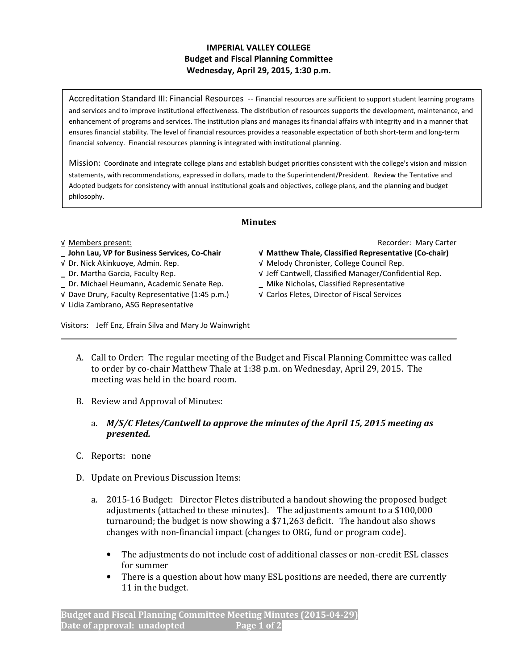#### IMPERIAL VALLEY COLLEGE Budget and Fiscal Planning Committee Wednesday, April 29, 2015, 1:30 p.m.

Accreditation Standard III: Financial Resources -- Financial resources are sufficient to support student learning programs and services and to improve institutional effectiveness. The distribution of resources supports the development, maintenance, and enhancement of programs and services. The institution plans and manages its financial affairs with integrity and in a manner that ensures financial stability. The level of financial resources provides a reasonable expectation of both short-term and long-term financial solvency. Financial resources planning is integrated with institutional planning.

Mission: Coordinate and integrate college plans and establish budget priorities consistent with the college's vision and mission statements, with recommendations, expressed in dollars, made to the Superintendent/President. Review the Tentative and Adopted budgets for consistency with annual institutional goals and objectives, college plans, and the planning and budget philosophy.

#### Minutes

- 
- 
- 
- \_ Dr. Michael Heumann, Academic Senate Rep. \_ Mike Nicholas, Classified Representative
- √ Dave Drury, Faculty Representative (1:45 p.m.) √ Carlos Fletes, Director of Fiscal Services
- √ Lidia Zambrano, ASG Representative

√ Members present: Recorder: Mary Carter

- \_ John Lau, VP for Business Services, Co-Chair √ Matthew Thale, Classified Representative (Co-chair)
- √ Dr. Nick Akinkuoye, Admin. Rep. √ Melody Chronister, College Council Rep.
- \_ Dr. Martha Garcia, Faculty Rep. √ Jeff Cantwell, Classified Manager/Confidential Rep.
	-
	-

Visitors: Jeff Enz, Efrain Silva and Mary Jo Wainwright

- A. Call to Order: The regular meeting of the Budget and Fiscal Planning Committee was called to order by co-chair Matthew Thale at 1:38 p.m. on Wednesday, April 29, 2015. The meeting was held in the board room.
- B. Review and Approval of Minutes:
	- a. M/S/C Fletes/Cantwell to approve the minutes of the April 15, 2015 meeting as presented.
- C. Reports: none
- D. Update on Previous Discussion Items:
	- a. 2015-16 Budget: Director Fletes distributed a handout showing the proposed budget adjustments (attached to these minutes). The adjustments amount to a \$100,000 turnaround; the budget is now showing a \$71,263 deficit. The handout also shows changes with non-financial impact (changes to ORG, fund or program code).
		- The adjustments do not include cost of additional classes or non-credit ESL classes for summer
		- There is a question about how many ESL positions are needed, there are currently 11 in the budget.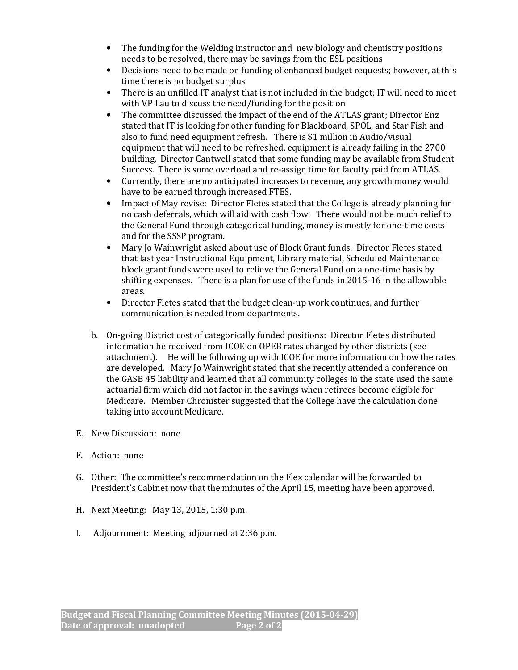- The funding for the Welding instructor and new biology and chemistry positions needs to be resolved, there may be savings from the ESL positions
- Decisions need to be made on funding of enhanced budget requests; however, at this time there is no budget surplus
- There is an unfilled IT analyst that is not included in the budget; IT will need to meet with VP Lau to discuss the need/funding for the position
- The committee discussed the impact of the end of the ATLAS grant; Director Enz stated that IT is looking for other funding for Blackboard, SPOL, and Star Fish and also to fund need equipment refresh. There is \$1 million in Audio/visual equipment that will need to be refreshed, equipment is already failing in the 2700 building. Director Cantwell stated that some funding may be available from Student Success. There is some overload and re-assign time for faculty paid from ATLAS.
- Currently, there are no anticipated increases to revenue, any growth money would have to be earned through increased FTES.
- Impact of May revise: Director Fletes stated that the College is already planning for no cash deferrals, which will aid with cash flow. There would not be much relief to the General Fund through categorical funding, money is mostly for one-time costs and for the SSSP program.
- Mary Jo Wainwright asked about use of Block Grant funds. Director Fletes stated that last year Instructional Equipment, Library material, Scheduled Maintenance block grant funds were used to relieve the General Fund on a one-time basis by shifting expenses. There is a plan for use of the funds in 2015-16 in the allowable areas.
- Director Fletes stated that the budget clean-up work continues, and further communication is needed from departments.
- b. On-going District cost of categorically funded positions: Director Fletes distributed information he received from ICOE on OPEB rates charged by other districts (see attachment). He will be following up with ICOE for more information on how the rates are developed. Mary Jo Wainwright stated that she recently attended a conference on the GASB 45 liability and learned that all community colleges in the state used the same actuarial firm which did not factor in the savings when retirees become eligible for Medicare. Member Chronister suggested that the College have the calculation done taking into account Medicare.
- E. New Discussion: none
- F. Action: none
- G. Other: The committee's recommendation on the Flex calendar will be forwarded to President's Cabinet now that the minutes of the April 15, meeting have been approved.
- H. Next Meeting: May 13, 2015, 1:30 p.m.
- I. Adjournment: Meeting adjourned at 2:36 p.m.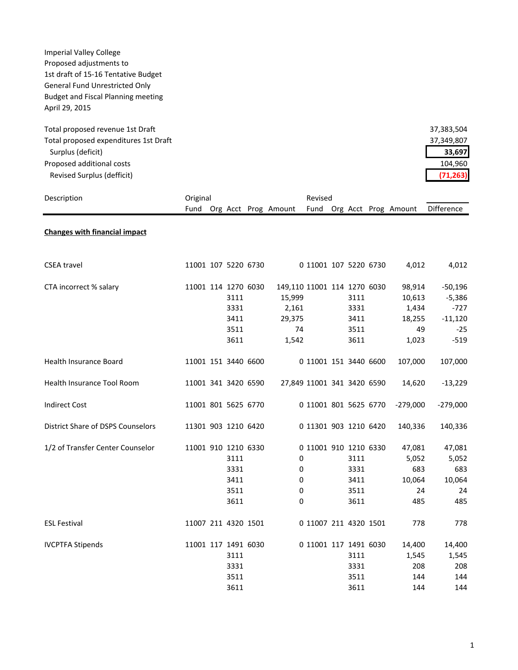| Total proposed revenue 1st Draft<br>Total proposed expenditures 1st Draft<br>Surplus (deficit)<br>Proposed additional costs<br>Revised Surplus (defficit) |                     |                                      |                                                                         |                       |                                      |                                                    | 37,383,504<br>37,349,807<br>33,697<br>104,960<br>(71, 263)      |
|-----------------------------------------------------------------------------------------------------------------------------------------------------------|---------------------|--------------------------------------|-------------------------------------------------------------------------|-----------------------|--------------------------------------|----------------------------------------------------|-----------------------------------------------------------------|
| Description                                                                                                                                               | Original            |                                      |                                                                         | Revised               |                                      |                                                    |                                                                 |
|                                                                                                                                                           | Fund                |                                      | Org Acct Prog Amount                                                    | Fund                  |                                      | Org Acct Prog Amount                               | Difference                                                      |
| <b>Changes with financial impact</b>                                                                                                                      |                     |                                      |                                                                         |                       |                                      |                                                    |                                                                 |
| <b>CSEA</b> travel                                                                                                                                        | 11001 107 5220 6730 |                                      |                                                                         | 0 11001 107 5220 6730 |                                      | 4,012                                              | 4,012                                                           |
| CTA incorrect % salary                                                                                                                                    | 11001 114 1270 6030 | 3111<br>3331<br>3411<br>3511<br>3611 | 149,110 11001 114 1270 6030<br>15,999<br>2,161<br>29,375<br>74<br>1,542 |                       | 3111<br>3331<br>3411<br>3511<br>3611 | 98,914<br>10,613<br>1,434<br>18,255<br>49<br>1,023 | $-50,196$<br>$-5,386$<br>$-727$<br>$-11,120$<br>$-25$<br>$-519$ |
| <b>Health Insurance Board</b>                                                                                                                             | 11001 151 3440 6600 |                                      |                                                                         | 0 11001 151 3440 6600 |                                      | 107,000                                            | 107,000                                                         |
| Health Insurance Tool Room                                                                                                                                | 11001 341 3420 6590 |                                      | 27,849 11001 341 3420 6590                                              |                       |                                      | 14,620                                             | $-13,229$                                                       |
| <b>Indirect Cost</b>                                                                                                                                      | 11001 801 5625 6770 |                                      |                                                                         | 0 11001 801 5625 6770 |                                      | $-279,000$                                         | $-279,000$                                                      |
| District Share of DSPS Counselors                                                                                                                         | 11301 903 1210 6420 |                                      |                                                                         | 0 11301 903 1210 6420 |                                      | 140,336                                            | 140,336                                                         |
| 1/2 of Transfer Center Counselor                                                                                                                          | 11001 910 1210 6330 | 3111<br>3331<br>3411<br>3511<br>3611 | 0<br>0<br>0<br>0<br>0                                                   | 0 11001 910 1210 6330 | 3111<br>3331<br>3411<br>3511<br>3611 | 47,081<br>5,052<br>683<br>10,064<br>24<br>485      | 47,081<br>5,052<br>683<br>10,064<br>24<br>485                   |
| <b>ESL Festival</b>                                                                                                                                       | 11007 211 4320 1501 |                                      |                                                                         | 0 11007 211 4320 1501 |                                      | 778                                                | 778                                                             |
| <b>IVCPTFA Stipends</b>                                                                                                                                   | 11001 117 1491 6030 | 3111<br>3331<br>3511<br>3611         |                                                                         | 0 11001 117 1491 6030 | 3111<br>3331<br>3511<br>3611         | 14,400<br>1,545<br>208<br>144<br>144               | 14,400<br>1,545<br>208<br>144<br>144                            |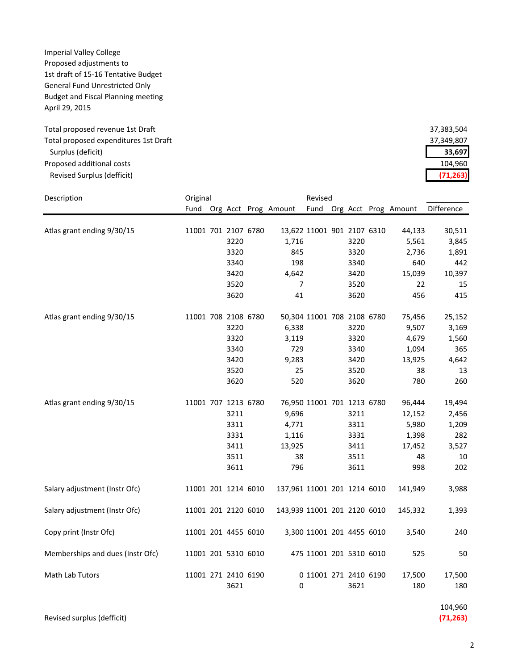Total proposed revenue 1st Draft 37,383,504 Total proposed expenditures 1st Draft 37,349,807 Surplus (deficit) 33,697 Proposed additional costs **104,960** Revised Surplus (defficit) **(71,263)** (71,263)

| Description                      | Original            |      |                             | Revised                   |      |                      |            |
|----------------------------------|---------------------|------|-----------------------------|---------------------------|------|----------------------|------------|
|                                  | Fund                |      | Org Acct Prog Amount        | Fund                      |      | Org Acct Prog Amount | Difference |
|                                  |                     |      |                             |                           |      |                      |            |
| Atlas grant ending 9/30/15       | 11001 701 2107 6780 |      | 13,622 11001 901 2107 6310  |                           |      | 44,133               | 30,511     |
|                                  |                     | 3220 | 1,716                       |                           | 3220 | 5,561                | 3,845      |
|                                  |                     | 3320 | 845                         |                           | 3320 | 2,736                | 1,891      |
|                                  |                     | 3340 | 198                         |                           | 3340 | 640                  | 442        |
|                                  |                     | 3420 | 4,642                       |                           | 3420 | 15,039               | 10,397     |
|                                  |                     | 3520 | 7                           |                           | 3520 | 22                   | 15         |
|                                  |                     | 3620 | 41                          |                           | 3620 | 456                  | 415        |
| Atlas grant ending 9/30/15       | 11001 708 2108 6780 |      | 50,304 11001 708 2108 6780  |                           |      | 75,456               | 25,152     |
|                                  |                     | 3220 | 6,338                       |                           | 3220 | 9,507                | 3,169      |
|                                  |                     | 3320 | 3,119                       |                           | 3320 | 4,679                | 1,560      |
|                                  |                     | 3340 | 729                         |                           | 3340 | 1,094                | 365        |
|                                  |                     | 3420 | 9,283                       |                           | 3420 | 13,925               | 4,642      |
|                                  |                     | 3520 | 25                          |                           | 3520 | 38                   | 13         |
|                                  |                     | 3620 | 520                         |                           | 3620 | 780                  | 260        |
| Atlas grant ending 9/30/15       | 11001 707 1213 6780 |      | 76,950 11001 701 1213 6780  |                           |      | 96,444               | 19,494     |
|                                  |                     | 3211 | 9,696                       |                           | 3211 | 12,152               | 2,456      |
|                                  |                     | 3311 | 4,771                       |                           | 3311 | 5,980                | 1,209      |
|                                  |                     | 3331 | 1,116                       |                           | 3331 | 1,398                | 282        |
|                                  |                     | 3411 | 13,925                      |                           | 3411 | 17,452               | 3,527      |
|                                  |                     | 3511 | 38                          |                           | 3511 | 48                   | 10         |
|                                  |                     | 3611 | 796                         |                           | 3611 | 998                  | 202        |
| Salary adjustment (Instr Ofc)    | 11001 201 1214 6010 |      | 137,961 11001 201 1214 6010 |                           |      | 141,949              | 3,988      |
| Salary adjustment (Instr Ofc)    | 11001 201 2120 6010 |      | 143,939 11001 201 2120 6010 |                           |      | 145,332              | 1,393      |
| Copy print (Instr Ofc)           | 11001 201 4455 6010 |      |                             | 3,300 11001 201 4455 6010 |      | 3,540                | 240        |
| Memberships and dues (Instr Ofc) | 11001 201 5310 6010 |      |                             | 475 11001 201 5310 6010   |      | 525                  | 50         |
| Math Lab Tutors                  | 11001 271 2410 6190 |      |                             | 0 11001 271 2410 6190     |      | 17,500               | 17,500     |
|                                  |                     | 3621 | 0                           |                           | 3621 | 180                  | 180        |
|                                  |                     |      |                             |                           |      |                      | 104,960    |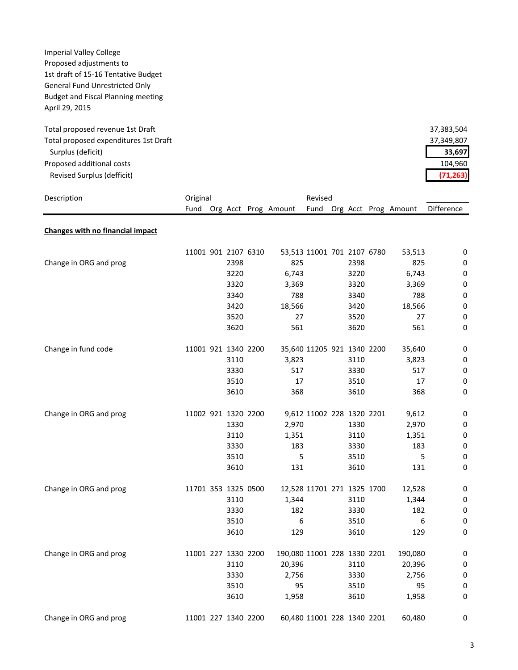| Total proposed revenue 1st Draft<br>Total proposed expenditures 1st Draft |                     |  |      |  |                             |                            |         |           |  |                      | 37,383,504<br>37,349,807 |  |
|---------------------------------------------------------------------------|---------------------|--|------|--|-----------------------------|----------------------------|---------|-----------|--|----------------------|--------------------------|--|
| Surplus (deficit)                                                         |                     |  |      |  |                             |                            |         |           |  |                      | 33,697                   |  |
| Proposed additional costs                                                 |                     |  |      |  |                             |                            |         |           |  |                      | 104,960                  |  |
| Revised Surplus (defficit)                                                |                     |  |      |  |                             |                            |         | (71, 263) |  |                      |                          |  |
|                                                                           |                     |  |      |  |                             |                            |         |           |  |                      |                          |  |
| Description                                                               | Original            |  |      |  |                             |                            | Revised |           |  |                      |                          |  |
|                                                                           | Fund                |  |      |  | Org Acct Prog Amount        | Fund                       |         |           |  | Org Acct Prog Amount | Difference               |  |
| <b>Changes with no financial impact</b>                                   |                     |  |      |  |                             |                            |         |           |  |                      |                          |  |
|                                                                           | 11001 901 2107 6310 |  |      |  |                             | 53,513 11001 701 2107 6780 |         |           |  | 53,513               | 0                        |  |
| Change in ORG and prog                                                    |                     |  | 2398 |  | 825                         |                            |         | 2398      |  | 825                  | $\pmb{0}$                |  |
|                                                                           |                     |  | 3220 |  | 6,743                       |                            |         | 3220      |  | 6,743                | $\pmb{0}$                |  |
|                                                                           |                     |  | 3320 |  | 3,369                       |                            |         | 3320      |  | 3,369                | $\pmb{0}$                |  |
|                                                                           |                     |  | 3340 |  | 788                         |                            |         | 3340      |  | 788                  | $\pmb{0}$                |  |
|                                                                           |                     |  | 3420 |  | 18,566                      |                            |         | 3420      |  | 18,566               | $\boldsymbol{0}$         |  |
|                                                                           |                     |  | 3520 |  | 27                          |                            |         | 3520      |  | 27                   | $\boldsymbol{0}$         |  |
|                                                                           |                     |  | 3620 |  | 561                         |                            |         | 3620      |  | 561                  | $\mathbf 0$              |  |
| Change in fund code                                                       | 11001 921 1340 2200 |  |      |  |                             | 35,640 11205 921 1340 2200 |         |           |  | 35,640               | $\pmb{0}$                |  |
|                                                                           |                     |  | 3110 |  | 3,823                       |                            |         | 3110      |  | 3,823                | $\boldsymbol{0}$         |  |
|                                                                           |                     |  | 3330 |  | 517                         |                            |         | 3330      |  | 517                  | $\pmb{0}$                |  |
|                                                                           |                     |  | 3510 |  | 17                          |                            |         | 3510      |  | 17                   | 0                        |  |
|                                                                           |                     |  | 3610 |  | 368                         |                            |         | 3610      |  | 368                  | 0                        |  |
| Change in ORG and prog                                                    | 11002 921 1320 2200 |  |      |  |                             | 9,612 11002 228 1320 2201  |         |           |  | 9,612                | $\pmb{0}$                |  |
|                                                                           |                     |  | 1330 |  | 2,970                       |                            |         | 1330      |  | 2,970                | 0                        |  |
|                                                                           |                     |  | 3110 |  | 1,351                       |                            |         | 3110      |  | 1,351                | $\pmb{0}$                |  |
|                                                                           |                     |  | 3330 |  | 183                         |                            |         | 3330      |  | 183                  | $\boldsymbol{0}$         |  |
|                                                                           |                     |  | 3510 |  | 5                           |                            |         | 3510      |  | 5                    | $\boldsymbol{0}$         |  |
|                                                                           |                     |  | 3610 |  | 131                         |                            |         | 3610      |  | 131                  | 0                        |  |
| Change in ORG and prog                                                    | 11701 353 1325 0500 |  |      |  |                             | 12,528 11701 271 1325 1700 |         |           |  | 12,528               | $\pmb{0}$                |  |
|                                                                           |                     |  | 3110 |  | 1,344                       |                            |         | 3110      |  | 1,344                | $\mathbf 0$              |  |
|                                                                           |                     |  | 3330 |  | 182                         |                            |         | 3330      |  | 182                  | $\pmb{0}$                |  |
|                                                                           |                     |  | 3510 |  | 6                           |                            |         | 3510      |  | 6                    | $\pmb{0}$                |  |
|                                                                           |                     |  | 3610 |  | 129                         |                            |         | 3610      |  | 129                  | $\boldsymbol{0}$         |  |
| Change in ORG and prog                                                    | 11001 227 1330 2200 |  |      |  | 190,080 11001 228 1330 2201 |                            |         |           |  | 190,080              | $\pmb{0}$                |  |
|                                                                           |                     |  | 3110 |  | 20,396                      |                            |         | 3110      |  | 20,396               | $\pmb{0}$                |  |
|                                                                           |                     |  | 3330 |  | 2,756                       |                            |         | 3330      |  | 2,756                | $\pmb{0}$                |  |
|                                                                           |                     |  | 3510 |  | 95                          |                            |         | 3510      |  | 95                   | $\boldsymbol{0}$         |  |
|                                                                           |                     |  | 3610 |  | 1,958                       |                            |         | 3610      |  | 1,958                | $\boldsymbol{0}$         |  |
| Change in ORG and prog                                                    | 11001 227 1340 2200 |  |      |  |                             | 60,480 11001 228 1340 2201 |         |           |  | 60,480               | 0                        |  |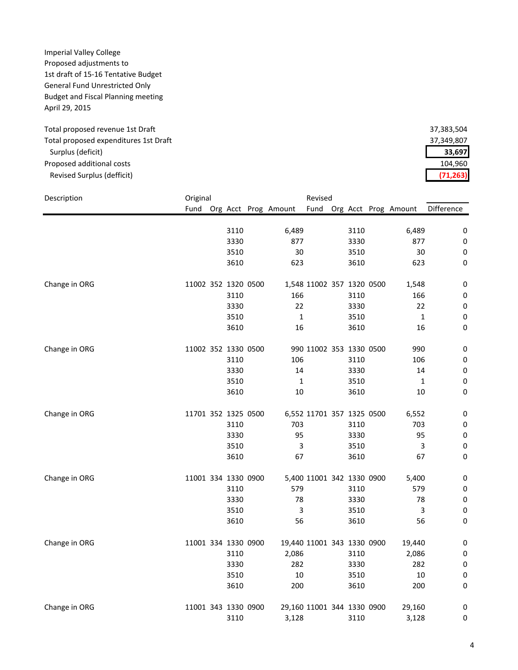Total proposed revenue 1st Draft 37,383,504 Total proposed expenditures 1st Draft 37,349,807 Surplus (deficit) 33,697 Proposed additional costs **104,960** Revised Surplus (defficit) **(71,263)** (71,263)

| Description   | Original            |      |                            | Revised                   |      |                      |                  |
|---------------|---------------------|------|----------------------------|---------------------------|------|----------------------|------------------|
|               | Fund                |      | Org Acct Prog Amount       | Fund                      |      | Org Acct Prog Amount | Difference       |
|               |                     |      |                            |                           |      |                      |                  |
|               |                     | 3110 | 6,489                      |                           | 3110 | 6,489                | 0                |
|               |                     | 3330 | 877                        |                           | 3330 | 877                  | 0                |
|               |                     | 3510 | 30                         |                           | 3510 | 30                   | 0                |
|               |                     | 3610 | 623                        |                           | 3610 | 623                  | $\mathbf 0$      |
| Change in ORG | 11002 352 1320 0500 |      |                            | 1,548 11002 357 1320 0500 |      | 1,548                | 0                |
|               |                     | 3110 | 166                        |                           | 3110 | 166                  | 0                |
|               |                     | 3330 | 22                         |                           | 3330 | 22                   | $\pmb{0}$        |
|               |                     | 3510 | $\mathbf 1$                |                           | 3510 | $\mathbf{1}$         | $\pmb{0}$        |
|               |                     | 3610 | 16                         |                           | 3610 | 16                   | 0                |
| Change in ORG | 11002 352 1330 0500 |      |                            | 990 11002 353 1330 0500   |      | 990                  | 0                |
|               |                     | 3110 | 106                        |                           | 3110 | 106                  | $\pmb{0}$        |
|               |                     | 3330 | 14                         |                           | 3330 | 14                   | $\pmb{0}$        |
|               |                     | 3510 | $\mathbf{1}$               |                           | 3510 | 1                    | $\pmb{0}$        |
|               |                     | 3610 | 10                         |                           | 3610 | 10                   | 0                |
| Change in ORG | 11701 352 1325 0500 |      |                            | 6,552 11701 357 1325 0500 |      | 6,552                | 0                |
|               |                     | 3110 | 703                        |                           | 3110 | 703                  | $\boldsymbol{0}$ |
|               |                     | 3330 | 95                         |                           | 3330 | 95                   | $\boldsymbol{0}$ |
|               |                     | 3510 | 3                          |                           | 3510 | 3                    | $\boldsymbol{0}$ |
|               |                     | 3610 | 67                         |                           | 3610 | 67                   | $\boldsymbol{0}$ |
| Change in ORG | 11001 334 1330 0900 |      |                            | 5,400 11001 342 1330 0900 |      | 5,400                | 0                |
|               |                     | 3110 | 579                        |                           | 3110 | 579                  | $\boldsymbol{0}$ |
|               |                     | 3330 | 78                         |                           | 3330 | 78                   | $\pmb{0}$        |
|               |                     | 3510 | 3                          |                           | 3510 | 3                    | 0                |
|               |                     | 3610 | 56                         |                           | 3610 | 56                   | 0                |
| Change in ORG | 11001 334 1330 0900 |      | 19,440 11001 343 1330 0900 |                           |      | 19,440               | $\pmb{0}$        |
|               |                     | 3110 | 2,086                      |                           | 3110 | 2,086                | 0                |
|               |                     | 3330 | 282                        |                           | 3330 | 282                  | 0                |
|               |                     | 3510 | 10                         |                           | 3510 | 10                   | $\pmb{0}$        |
|               |                     | 3610 | 200                        |                           | 3610 | 200                  | $\boldsymbol{0}$ |
| Change in ORG | 11001 343 1330 0900 |      | 29,160 11001 344 1330 0900 |                           |      | 29,160               | 0                |
|               |                     | 3110 | 3,128                      |                           | 3110 | 3,128                | $\boldsymbol{0}$ |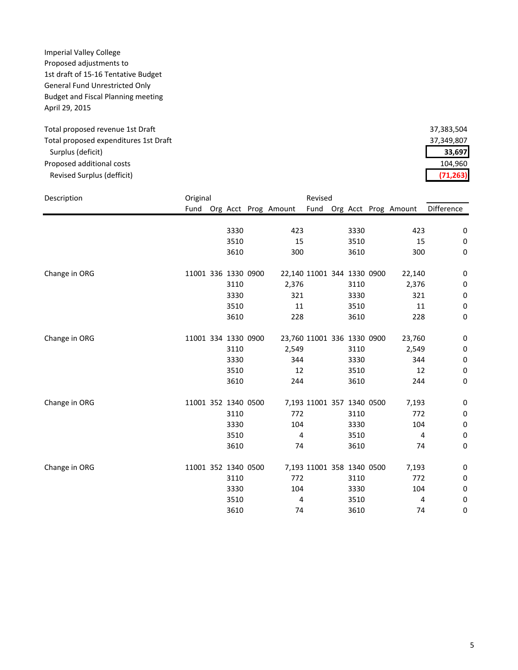Total proposed revenue 1st Draft 37,383,504 Total proposed expenditures 1st Draft 37,349,807 Surplus (deficit) 33,697 Proposed additional costs **104,960** Revised Surplus (defficit) **(71,263)** (71,263)

| Description   | Revised<br>Original |  |      |  |                            |                           |  |      |  |                           |                  |
|---------------|---------------------|--|------|--|----------------------------|---------------------------|--|------|--|---------------------------|------------------|
|               | Fund                |  |      |  | Org Acct Prog Amount       |                           |  |      |  | Fund Org Acct Prog Amount | Difference       |
|               |                     |  | 3330 |  | 423                        |                           |  | 3330 |  | 423                       | $\pmb{0}$        |
|               |                     |  | 3510 |  | 15                         |                           |  | 3510 |  | 15                        | $\pmb{0}$        |
|               |                     |  | 3610 |  | 300                        |                           |  | 3610 |  | 300                       | $\pmb{0}$        |
| Change in ORG | 11001 336 1330 0900 |  |      |  | 22,140 11001 344 1330 0900 |                           |  |      |  | 22,140                    | $\pmb{0}$        |
|               |                     |  | 3110 |  | 2,376                      |                           |  | 3110 |  | 2,376                     | $\pmb{0}$        |
|               |                     |  | 3330 |  | 321                        |                           |  | 3330 |  | 321                       | $\pmb{0}$        |
|               |                     |  | 3510 |  | 11                         |                           |  | 3510 |  | 11                        | $\pmb{0}$        |
|               |                     |  | 3610 |  | 228                        |                           |  | 3610 |  | 228                       | $\pmb{0}$        |
| Change in ORG | 11001 334 1330 0900 |  |      |  | 23,760 11001 336 1330 0900 |                           |  |      |  | 23,760                    | $\pmb{0}$        |
|               |                     |  | 3110 |  | 2,549                      |                           |  | 3110 |  | 2,549                     | $\pmb{0}$        |
|               |                     |  | 3330 |  | 344                        |                           |  | 3330 |  | 344                       | $\pmb{0}$        |
|               |                     |  | 3510 |  | 12                         |                           |  | 3510 |  | 12                        | $\pmb{0}$        |
|               |                     |  | 3610 |  | 244                        |                           |  | 3610 |  | 244                       | $\pmb{0}$        |
| Change in ORG | 11001 352 1340 0500 |  |      |  |                            | 7,193 11001 357 1340 0500 |  |      |  | 7,193                     | $\pmb{0}$        |
|               |                     |  | 3110 |  | 772                        |                           |  | 3110 |  | 772                       | $\pmb{0}$        |
|               |                     |  | 3330 |  | 104                        |                           |  | 3330 |  | 104                       | $\pmb{0}$        |
|               |                     |  | 3510 |  | 4                          |                           |  | 3510 |  | 4                         | $\pmb{0}$        |
|               |                     |  | 3610 |  | 74                         |                           |  | 3610 |  | 74                        | $\pmb{0}$        |
| Change in ORG | 11001 352 1340 0500 |  |      |  |                            | 7,193 11001 358 1340 0500 |  |      |  | 7,193                     | $\pmb{0}$        |
|               |                     |  | 3110 |  | 772                        |                           |  | 3110 |  | 772                       | $\boldsymbol{0}$ |
|               |                     |  | 3330 |  | 104                        |                           |  | 3330 |  | 104                       | $\pmb{0}$        |
|               |                     |  | 3510 |  | 4                          |                           |  | 3510 |  | 4                         | $\pmb{0}$        |
|               |                     |  | 3610 |  | 74                         |                           |  | 3610 |  | 74                        | 0                |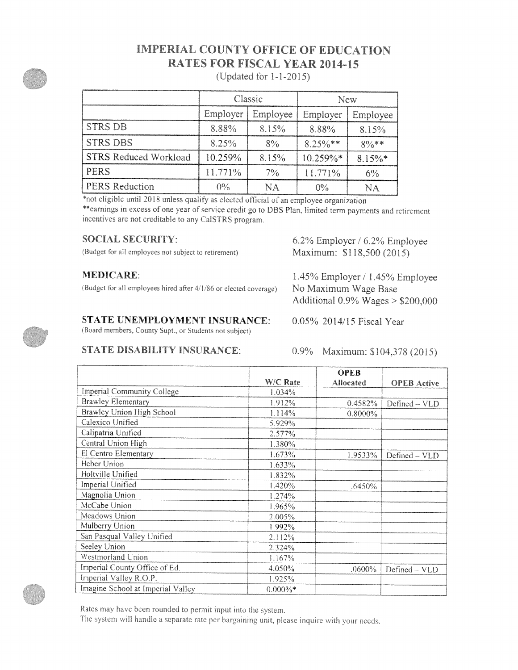# **IMPERIAL COUNTY OFFICE OF EDUCATION RATES FOR FISCAL YEAR 2014-15**

|                              |          | Classic  | New         |            |
|------------------------------|----------|----------|-------------|------------|
|                              | Employer | Employee | Employer    | Employee   |
| STRS DB                      | 8.88%    | 8.15%    | 8.88%       | 8.15%      |
| <b>STRS DBS</b>              | 8.25%    | $8\%$    | $8.25\%**$  | $8\%**$    |
| <b>STRS Reduced Workload</b> | 10.259%  | 8.15%    | $10.259\%*$ | $8.15\%$ * |
| PERS                         | 11.771%  | $7\%$    | 11.771%     | 6%         |
| <b>PERS</b> Reduction        | $0\%$    | NA       | $0\%$       | NΑ         |

(Updated for  $1-1-2015$ )

\*not eligible until 2018 unless qualify as elected official of an employee organization

\*\* earnings in excess of one year of service credit go to DBS Plan, limited term payments and retirement incentives are not creditable to any CalSTRS program.

#### **SOCIAL SECURITY:**

(Budget for all employees not subject to retirement)

## **MEDICARE:**

(Budget for all employees hired after 4/1/86 or elected coverage)

## STATE UNEMPLOYMENT INSURANCE:

(Board members, County Supt., or Students not subject)

## 6.2% Employer / 6.2% Employee Maximum: \$118,500 (2015)

1.45% Employer / 1.45% Employee No Maximum Wage Base Additional  $0.9\%$  Wages > \$200,000

0.05% 2014/15 Fiscal Year

## **STATE DISABILITY INSURANCE:**

0.9% Maximum: \$104,378 (2015)

|                                   |             | OPEB       |                    |
|-----------------------------------|-------------|------------|--------------------|
|                                   | W/C Rate    | Allocated  | <b>OPEB</b> Active |
| Imperial Community College        | 1.034%      |            |                    |
| <b>Brawley Elementary</b>         | 1.912%      | 0.4582%    | Defined - VLD      |
| Brawley Union High School         | 1.114%      | $0.8000\%$ |                    |
| Calexico Unified                  | 5.929%      |            |                    |
| Calipatria Unified                | 2.577%      |            |                    |
| Central Union High                | 1.380%      |            |                    |
| El Centro Elementary              | 1.673%      | 1.9533%    | Defined - VLD      |
| Heber Union                       | $1.633\%$   |            |                    |
| Holtville Unified                 | 1.832%      |            |                    |
| Imperial Unified                  | 1.420%      | .6450%     |                    |
| Magnolia Union                    | 1.274%      |            |                    |
| McCabe Union                      | 1.965%      |            |                    |
| Meadows Union                     | 2.005%      |            |                    |
| Mulberry Union                    | 1.992%      |            |                    |
| San Pasqual Valley Unified        | 2.112%      |            |                    |
| Seeley Union                      | 2.324%      |            |                    |
| Westmorland Union                 | 1.167%      |            |                    |
| Imperial County Office of Ed.     | 4.050%      | $.0600\%$  | Defined - VLD      |
| Imperial Valley R.O.P.            | 1.925%      |            |                    |
| Imagine School at Imperial Valley | $0.000\%$ * |            |                    |

Rates may have been rounded to permit input into the system.

The system will handle a separate rate per bargaining unit, please inquire with your needs.



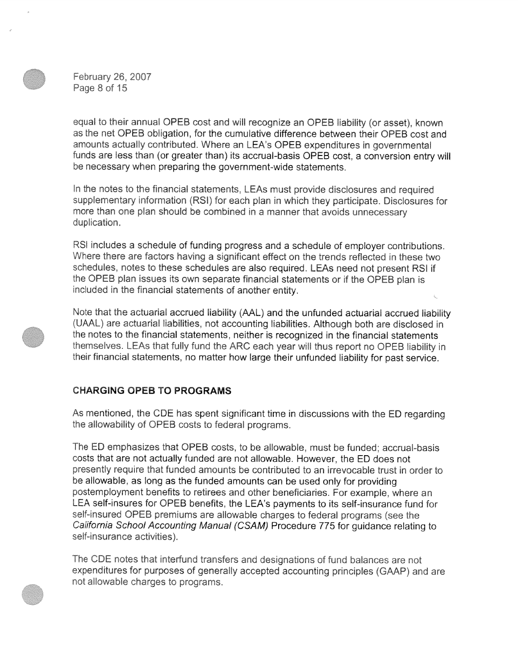February 26, 2007 Page 8 of 15

equal to their annual OPEB cost and will recognize an OPEB liability (or asset), known as the net OPEB obligation, for the cumulative difference between their OPEB cost and amounts actually contributed. Where an LEA's OPEB expenditures in governmental funds are less than (or greater than) its accrual-basis OPEB cost, a conversion entry will be necessary when preparing the government-wide statements.

In the notes to the financial statements, LEAs must provide disclosures and required supplementary information (RSI) for each plan in which they participate. Disclosures for more than one plan should be combined in a manner that avoids unnecessary duplication.

RSI includes a schedule of funding progress and a schedule of employer contributions. Where there are factors having a significant effect on the trends reflected in these two schedules, notes to these schedules are also required. LEAs need not present RSI if the OPEB plan issues its own separate financial statements or if the OPEB plan is included in the financial statements of another entity.

Note that the actuarial accrued liability (AAL) and the unfunded actuarial accrued liability (UAAL) are actuarial liabilities, not accounting liabilities. Although both are disclosed in the notes to the financial statements, neither is recognized in the financial statements themselves. LEAs that fully fund the ARC each year will thus report no OPEB liability in their financial statements, no matter how large their unfunded liability for past service.

#### **CHARGING OPEB TO PROGRAMS**

As mentioned, the CDE has spent significant time in discussions with the ED regarding the allowability of OPEB costs to federal programs.

The ED emphasizes that OPEB costs, to be allowable, must be funded; accrual-basis costs that are not actually funded are not allowable. However, the ED does not presently require that funded amounts be contributed to an irrevocable trust in order to be allowable, as long as the funded amounts can be used only for providing postemployment benefits to retirees and other beneficiaries. For example, where an LEA self-insures for OPEB benefits, the LEA's payments to its self-insurance fund for self-insured OPEB premiums are allowable charges to federal programs (see the California School Accounting Manual (CSAM) Procedure 775 for guidance relating to self-insurance activities).

The CDE notes that interfund transfers and designations of fund balances are not expenditures for purposes of generally accepted accounting principles (GAAP) and are not allowable charges to programs.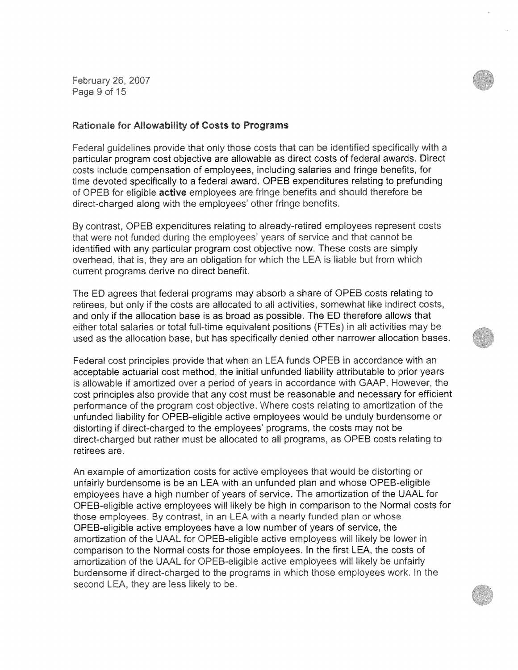February 26, 2007 Page 9 of 15

#### **Rationale for Allowability of Costs to Programs**

Federal quidelines provide that only those costs that can be identified specifically with a particular program cost objective are allowable as direct costs of federal awards. Direct costs include compensation of employees, including salaries and fringe benefits, for time devoted specifically to a federal award. OPEB expenditures relating to prefunding of OPEB for eligible active employees are fringe benefits and should therefore be direct-charged along with the employees' other fringe benefits.

By contrast, OPEB expenditures relating to already-retired employees represent costs that were not funded during the employees' years of service and that cannot be identified with any particular program cost objective now. These costs are simply overhead, that is, they are an obligation for which the LEA is liable but from which current programs derive no direct benefit.

The ED agrees that federal programs may absorb a share of OPEB costs relating to retirees, but only if the costs are allocated to all activities, somewhat like indirect costs, and only if the allocation base is as broad as possible. The ED therefore allows that either total salaries or total full-time equivalent positions (FTEs) in all activities may be used as the allocation base, but has specifically denied other narrower allocation bases.

Federal cost principles provide that when an LEA funds OPEB in accordance with an acceptable actuarial cost method, the initial unfunded liability attributable to prior years is allowable if amortized over a period of years in accordance with GAAP. However, the cost principles also provide that any cost must be reasonable and necessary for efficient performance of the program cost objective. Where costs relating to amortization of the unfunded liability for OPEB-eligible active employees would be unduly burdensome or distorting if direct-charged to the employees' programs, the costs may not be direct-charged but rather must be allocated to all programs, as OPEB costs relating to retirees are.

An example of amortization costs for active employees that would be distorting or unfairly burdensome is be an LEA with an unfunded plan and whose OPEB-eligible employees have a high number of years of service. The amortization of the UAAL for OPEB-eligible active employees will likely be high in comparison to the Normal costs for those employees. By contrast, in an LEA with a nearly funded plan or whose OPEB-eligible active employees have a low number of years of service, the amortization of the UAAL for OPEB-eligible active employees will likely be lower in comparison to the Normal costs for those employees. In the first LEA, the costs of amortization of the UAAL for OPEB-eligible active employees will likely be unfairly burdensome if direct-charged to the programs in which those employees work. In the second LEA, they are less likely to be.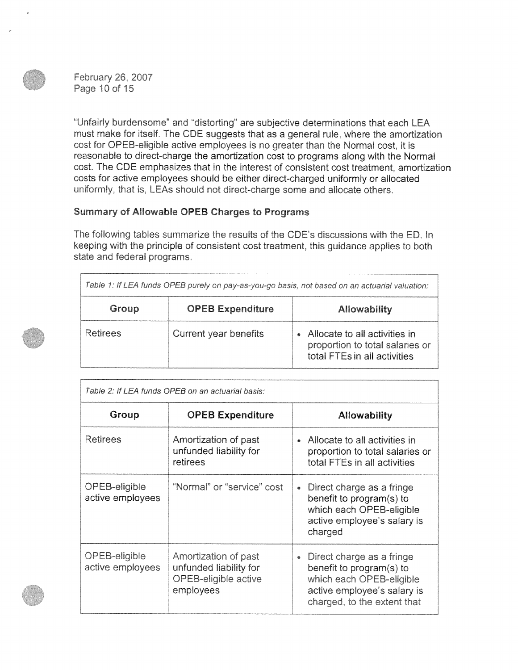February 26, 2007 Page 10 of 15

"Unfairly burdensome" and "distorting" are subjective determinations that each LEA must make for itself. The CDE suggests that as a general rule, where the amortization cost for OPEB-eligible active employees is no greater than the Normal cost, it is reasonable to direct-charge the amortization cost to programs along with the Normal cost. The CDE emphasizes that in the interest of consistent cost treatment, amortization costs for active employees should be either direct-charged uniformly or allocated uniformly, that is, LEAs should not direct-charge some and allocate others.

## Summary of Allowable OPEB Charges to Programs

The following tables summarize the results of the CDE's discussions with the ED. In keeping with the principle of consistent cost treatment, this guidance applies to both state and federal programs.

| Table 1: If LEA funds OPEB purely on pay-as-you-go basis, not based on an actuarial valuation: |                         |                                                                                                    |  |  |  |  |
|------------------------------------------------------------------------------------------------|-------------------------|----------------------------------------------------------------------------------------------------|--|--|--|--|
| Group                                                                                          | <b>OPEB Expenditure</b> | <b>Allowability</b>                                                                                |  |  |  |  |
| Retirees                                                                                       | Current year benefits   | • Allocate to all activities in<br>proportion to total salaries or<br>total FTEs in all activities |  |  |  |  |

Table 2: If LEA funds OPEB on an actuarial basis:

| Group                             | <b>OPEB Expenditure</b>                                                             | <b>Allowability</b>                                                                                                                               |
|-----------------------------------|-------------------------------------------------------------------------------------|---------------------------------------------------------------------------------------------------------------------------------------------------|
| <b>Retirees</b>                   | Amortization of past<br>unfunded liability for<br>retirees                          | • Allocate to all activities in<br>proportion to total salaries or<br>total FTEs in all activities                                                |
| OPEB-eligible<br>active employees | "Normal" or "service" cost                                                          | Direct charge as a fringe<br>benefit to program(s) to<br>which each OPEB-eligible<br>active employee's salary is<br>charged                       |
| OPEB-eligible<br>active employees | Amortization of past<br>unfunded liability for<br>OPEB-eligible active<br>employees | • Direct charge as a fringe<br>benefit to program(s) to<br>which each OPEB-eligible<br>active employee's salary is<br>charged, to the extent that |